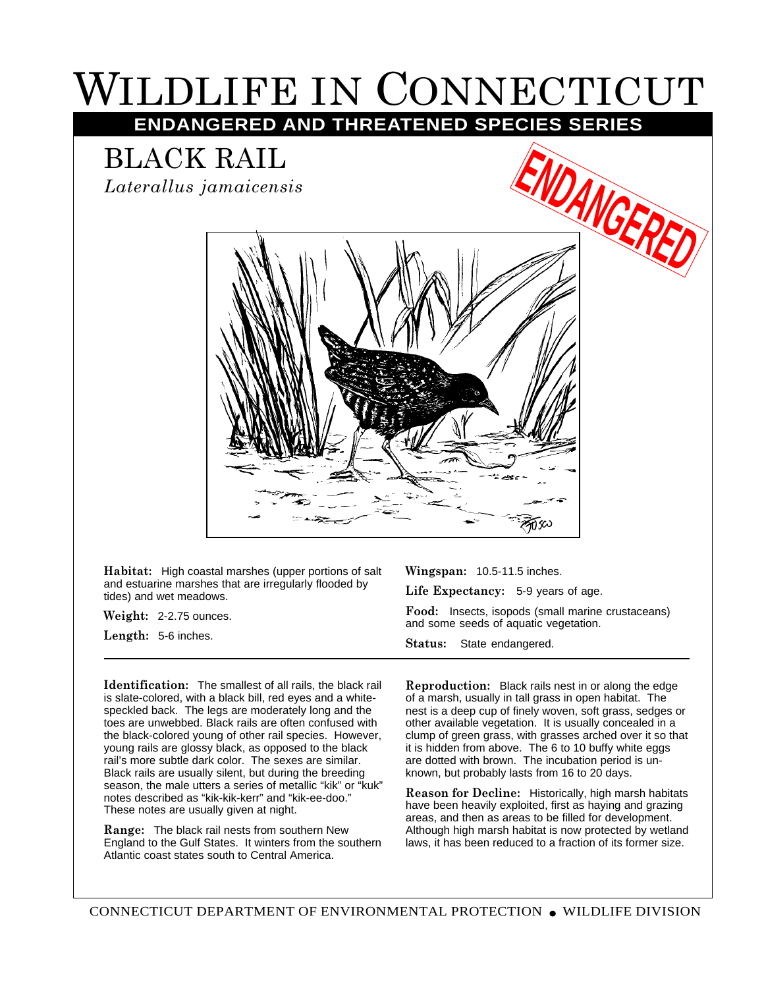## WILDLIFE IN CONNECTICUT

**ENDANGERED AND THREATENED SPECIES SERIES**

BLACK RAIL

*Laterallus jamaicensis*



**Habitat:** High coastal marshes (upper portions of salt and estuarine marshes that are irregularly flooded by tides) and wet meadows.

**Weight:** 2-2.75 ounces.

**Length:** 5-6 inches.

**Wingspan:** 10.5-11.5 inches.

**Life Expectancy:** 5-9 years of age.

**Food:** Insects, isopods (small marine crustaceans) and some seeds of aquatic vegetation.

**Status:** State endangered.

**Identification:** The smallest of all rails, the black rail is slate-colored, with a black bill, red eyes and a whitespeckled back. The legs are moderately long and the toes are unwebbed. Black rails are often confused with the black-colored young of other rail species. However, young rails are glossy black, as opposed to the black rail's more subtle dark color. The sexes are similar. Black rails are usually silent, but during the breeding season, the male utters a series of metallic "kik" or "kuk" notes described as "kik-kik-kerr" and "kik-ee-doo." These notes are usually given at night.

**Range:** The black rail nests from southern New England to the Gulf States. It winters from the southern Atlantic coast states south to Central America.

**Reproduction:** Black rails nest in or along the edge of a marsh, usually in tall grass in open habitat. The nest is a deep cup of finely woven, soft grass, sedges or other available vegetation. It is usually concealed in a clump of green grass, with grasses arched over it so that it is hidden from above. The 6 to 10 buffy white eggs are dotted with brown. The incubation period is unknown, but probably lasts from 16 to 20 days.

**Reason for Decline:** Historically, high marsh habitats have been heavily exploited, first as haying and grazing areas, and then as areas to be filled for development. Although high marsh habitat is now protected by wetland laws, it has been reduced to a fraction of its former size.